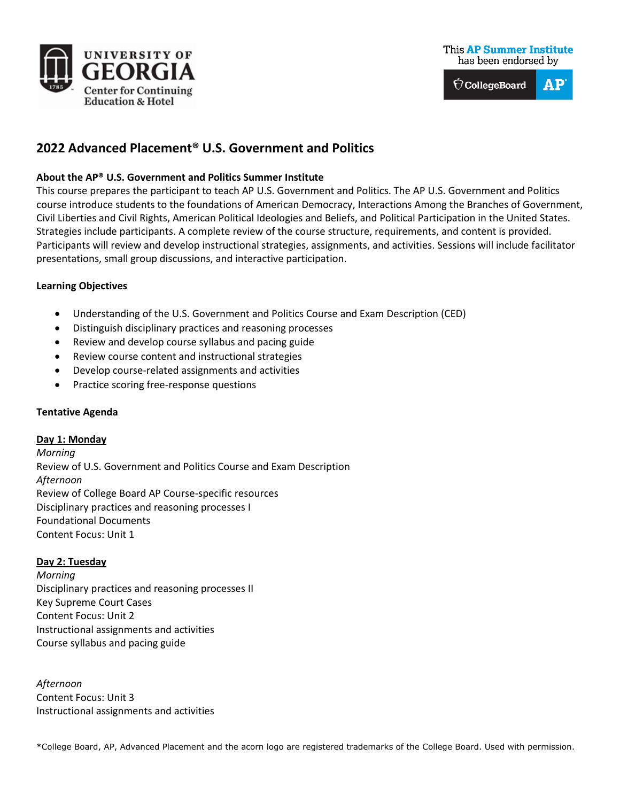



# **2022 Advanced Placement® U.S. Government and Politics**

#### **About the AP® U.S. Government and Politics Summer Institute**

This course prepares the participant to teach AP U.S. Government and Politics. The AP U.S. Government and Politics course introduce students to the foundations of American Democracy, Interactions Among the Branches of Government, Civil Liberties and Civil Rights, American Political Ideologies and Beliefs, and Political Participation in the United States. Strategies include participants. A complete review of the course structure, requirements, and content is provided. Participants will review and develop instructional strategies, assignments, and activities. Sessions will include facilitator presentations, small group discussions, and interactive participation.

#### **Learning Objectives**

- Understanding of the U.S. Government and Politics Course and Exam Description (CED)
- Distinguish disciplinary practices and reasoning processes
- Review and develop course syllabus and pacing guide
- Review course content and instructional strategies
- Develop course-related assignments and activities
- Practice scoring free-response questions

#### **Tentative Agenda**

#### **Day 1: Monday**

*Morning* Review of U.S. Government and Politics Course and Exam Description *Afternoon* Review of College Board AP Course-specific resources Disciplinary practices and reasoning processes I Foundational Documents Content Focus: Unit 1

#### **Day 2: Tuesday**

*Morning* Disciplinary practices and reasoning processes II Key Supreme Court Cases Content Focus: Unit 2 Instructional assignments and activities Course syllabus and pacing guide

*Afternoon* Content Focus: Unit 3 Instructional assignments and activities

\*College Board, AP, Advanced Placement and the acorn logo are registered trademarks of the College Board. Used with permission.